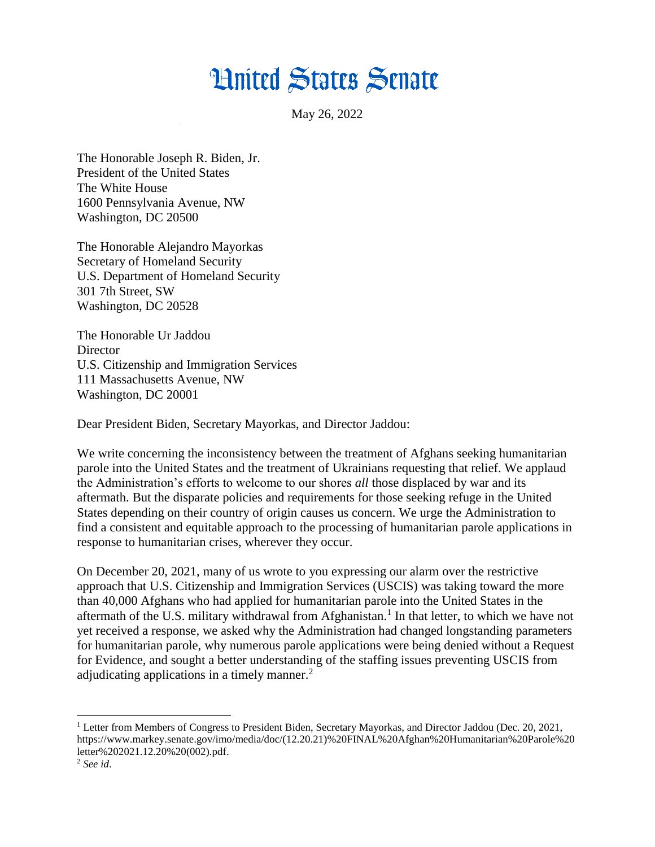## **Hnited States Senate**

May 26, 2022

The Honorable Joseph R. Biden, Jr. President of the United States The White House 1600 Pennsylvania Avenue, NW Washington, DC 20500

The Honorable Alejandro Mayorkas Secretary of Homeland Security U.S. Department of Homeland Security 301 7th Street, SW Washington, DC 20528

The Honorable Ur Jaddou **Director** U.S. Citizenship and Immigration Services 111 Massachusetts Avenue, NW Washington, DC 20001

Dear President Biden, Secretary Mayorkas, and Director Jaddou:

We write concerning the inconsistency between the treatment of Afghans seeking humanitarian parole into the United States and the treatment of Ukrainians requesting that relief. We applaud the Administration's efforts to welcome to our shores *all* those displaced by war and its aftermath. But the disparate policies and requirements for those seeking refuge in the United States depending on their country of origin causes us concern. We urge the Administration to find a consistent and equitable approach to the processing of humanitarian parole applications in response to humanitarian crises, wherever they occur.

On December 20, 2021, many of us wrote to you expressing our alarm over the restrictive approach that U.S. Citizenship and Immigration Services (USCIS) was taking toward the more than 40,000 Afghans who had applied for humanitarian parole into the United States in the aftermath of the U.S. military withdrawal from Afghanistan.<sup>1</sup> In that letter, to which we have not yet received a response, we asked why the Administration had changed longstanding parameters for humanitarian parole, why numerous parole applications were being denied without a Request for Evidence, and sought a better understanding of the staffing issues preventing USCIS from adjudicating applications in a timely manner.<sup>2</sup>

<sup>1</sup> Letter from Members of Congress to President Biden, Secretary Mayorkas, and Director Jaddou (Dec. 20, 2021, https://www.markey.senate.gov/imo/media/doc/(12.20.21)%20FINAL%20Afghan%20Humanitarian%20Parole%20 letter%202021.12.20%20(002).pdf.

<sup>2</sup> *See id*.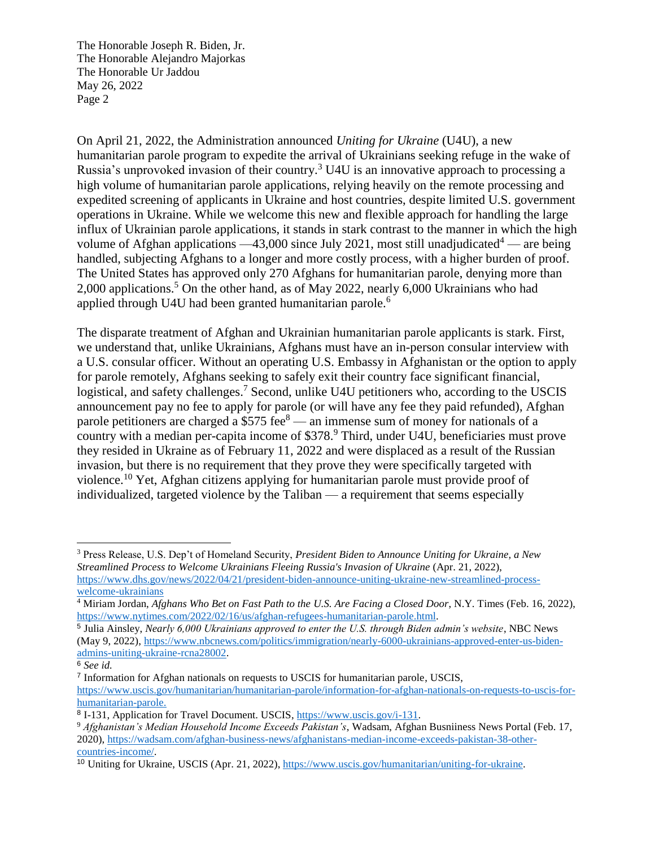The Honorable Joseph R. Biden, Jr. The Honorable Alejandro Majorkas The Honorable Ur Jaddou May 26, 2022 Page 2

On April 21, 2022, the Administration announced *Uniting for Ukraine* (U4U), a new humanitarian parole program to expedite the arrival of Ukrainians seeking refuge in the wake of Russia's unprovoked invasion of their country.<sup>3</sup> U4U is an innovative approach to processing a high volume of humanitarian parole applications, relying heavily on the remote processing and expedited screening of applicants in Ukraine and host countries, despite limited U.S. government operations in Ukraine. While we welcome this new and flexible approach for handling the large influx of Ukrainian parole applications, it stands in stark contrast to the manner in which the high volume of Afghan applications  $-43,000$  since July 2021, most still unadjudicated<sup>4</sup> — are being handled, subjecting Afghans to a longer and more costly process, with a higher burden of proof. The United States has approved only 270 Afghans for humanitarian parole, denying more than 2,000 applications.<sup>5</sup> On the other hand, as of May 2022, nearly 6,000 Ukrainians who had applied through U4U had been granted humanitarian parole.<sup>6</sup>

The disparate treatment of Afghan and Ukrainian humanitarian parole applicants is stark. First, we understand that, unlike Ukrainians, Afghans must have an in-person consular interview with a U.S. consular officer. Without an operating U.S. Embassy in Afghanistan or the option to apply for parole remotely, Afghans seeking to safely exit their country face significant financial, logistical, and safety challenges.<sup>7</sup> Second, unlike U4U petitioners who, according to the USCIS announcement pay no fee to apply for parole (or will have any fee they paid refunded), Afghan parole petitioners are charged a  $$575$  fee<sup>8</sup> — an immense sum of money for nationals of a country with a median per-capita income of \$378. <sup>9</sup> Third, under U4U, beneficiaries must prove they resided in Ukraine as of February 11, 2022 and were displaced as a result of the Russian invasion, but there is no requirement that they prove they were specifically targeted with violence.<sup>10</sup> Yet, Afghan citizens applying for humanitarian parole must provide proof of individualized, targeted violence by the Taliban — a requirement that seems especially

<sup>3</sup> Press Release, U.S. Dep't of Homeland Security, *President Biden to Announce Uniting for Ukraine, a New Streamlined Process to Welcome Ukrainians Fleeing Russia's Invasion of Ukraine* (Apr. 21, 2022), [https://www.dhs.gov/news/2022/04/21/president-biden-announce-uniting-ukraine-new-streamlined-process](https://www.dhs.gov/news/2022/04/21/president-biden-announce-uniting-ukraine-new-streamlined-process-welcome-ukrainians)[welcome-ukrainians](https://www.dhs.gov/news/2022/04/21/president-biden-announce-uniting-ukraine-new-streamlined-process-welcome-ukrainians)

<sup>&</sup>lt;sup>4</sup> Miriam Jordan, *Afghans Who Bet on Fast Path to the U.S. Are Facing a Closed Door*, N.Y. Times (Feb. 16, 2022), [https://www.nytimes.com/2022/02/16/us/afghan-refugees-humanitarian-parole.html.](https://www.nytimes.com/2022/02/16/us/afghan-refugees-humanitarian-parole.html)

<sup>5</sup> Julia Ainsley, *Nearly 6,000 Ukrainians approved to enter the U.S. through Biden admin's website*, NBC News (May 9, 2022), [https://www.nbcnews.com/politics/immigration/nearly-6000-ukrainians-approved-enter-us-biden](https://www.nbcnews.com/politics/immigration/nearly-6000-ukrainians-approved-enter-us-biden-admins-uniting-ukraine-rcna28002)[admins-uniting-ukraine-rcna28002.](https://www.nbcnews.com/politics/immigration/nearly-6000-ukrainians-approved-enter-us-biden-admins-uniting-ukraine-rcna28002)

<sup>6</sup> *See id.*

<sup>&</sup>lt;sup>7</sup> Information for Afghan nationals on requests to USCIS for humanitarian parole, USCIS,

[https://www.uscis.gov/humanitarian/humanitarian-parole/information-for-afghan-nationals-on-requests-to-uscis-for](https://www.uscis.gov/humanitarian/humanitarian-parole/information-for-afghan-nationals-on-requests-to-uscis-for-humanitarian-parole)[humanitarian-parole.](https://www.uscis.gov/humanitarian/humanitarian-parole/information-for-afghan-nationals-on-requests-to-uscis-for-humanitarian-parole)

<sup>&</sup>lt;sup>8</sup> I-131, Application for Travel Document. USCIS, [https://www.uscis.gov/i-131.](https://www.uscis.gov/i-131)

<sup>9</sup> *Afghanistan's Median Household Income Exceeds Pakistan's*, Wadsam, Afghan Busniiness News Portal (Feb. 17, 2020), [https://wadsam.com/afghan-business-news/afghanistans-median-income-exceeds-pakistan-38-other](https://wadsam.com/afghan-business-news/afghanistans-median-income-exceeds-pakistan-38-other-countries-income/)[countries-income/.](https://wadsam.com/afghan-business-news/afghanistans-median-income-exceeds-pakistan-38-other-countries-income/)

<sup>10</sup> Uniting for Ukraine, USCIS (Apr. 21, 2022), [https://www.uscis.gov/humanitarian/uniting-for-ukraine.](https://www.uscis.gov/humanitarian/uniting-for-ukraine)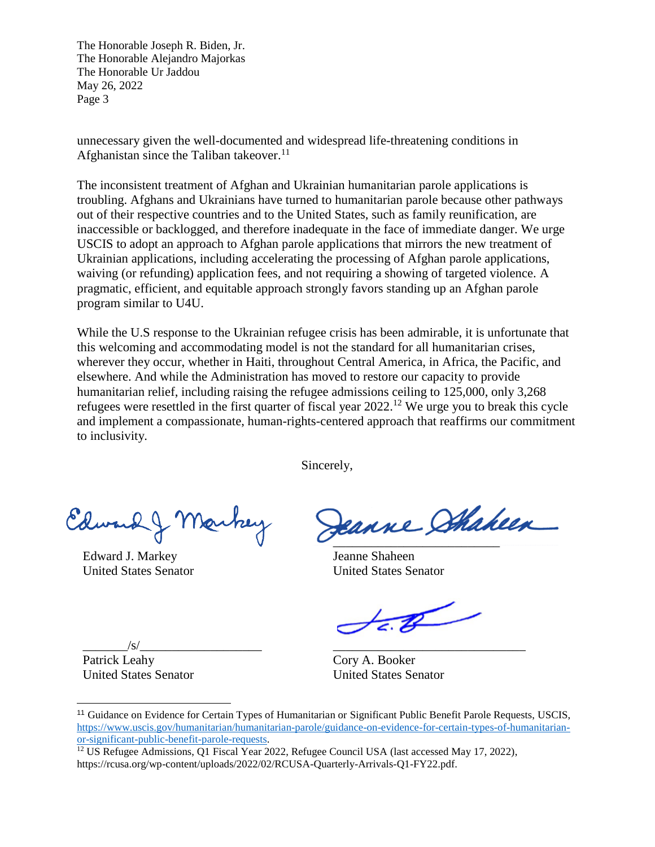The Honorable Joseph R. Biden, Jr. The Honorable Alejandro Majorkas The Honorable Ur Jaddou May 26, 2022 Page 3

unnecessary given the well-documented and widespread life-threatening conditions in Afghanistan since the Taliban takeover.<sup>11</sup>

The inconsistent treatment of Afghan and Ukrainian humanitarian parole applications is troubling. Afghans and Ukrainians have turned to humanitarian parole because other pathways out of their respective countries and to the United States, such as family reunification, are inaccessible or backlogged, and therefore inadequate in the face of immediate danger. We urge USCIS to adopt an approach to Afghan parole applications that mirrors the new treatment of Ukrainian applications, including accelerating the processing of Afghan parole applications, waiving (or refunding) application fees, and not requiring a showing of targeted violence. A pragmatic, efficient, and equitable approach strongly favors standing up an Afghan parole program similar to U4U.

While the U.S response to the Ukrainian refugee crisis has been admirable, it is unfortunate that this welcoming and accommodating model is not the standard for all humanitarian crises, wherever they occur, whether in Haiti, throughout Central America, in Africa, the Pacific, and elsewhere. And while the Administration has moved to restore our capacity to provide humanitarian relief, including raising the refugee admissions ceiling to 125,000, only 3,268 refugees were resettled in the first quarter of fiscal year 2022.<sup>12</sup> We urge you to break this cycle and implement a compassionate, human-rights-centered approach that reaffirms our commitment to inclusivity.

Sincerely,

Edward J. Markey

Edward J. Markey United States Senator

١ \_\_\_\_\_\_\_\_\_\_\_\_\_\_\_\_\_\_\_\_\_\_\_\_\_\_

Jeanne Shaheen United States Senator

 $\mathbb{Z}$ 

\_\_\_\_\_\_\_\_\_\_\_\_\_\_\_\_\_\_\_\_\_\_\_\_\_\_\_\_\_\_

\_\_\_\_\_\_\_/s/\_\_\_\_\_\_\_\_\_\_\_\_\_\_\_\_\_\_\_ Patrick Leahy United States Senator

Cory A. Booker United States Senator

<sup>11</sup> Guidance on Evidence for Certain Types of Humanitarian or Significant Public Benefit Parole Requests, USCIS, [https://www.uscis.gov/humanitarian/humanitarian-parole/guidance-on-evidence-for-certain-types-of-humanitarian](https://www.uscis.gov/humanitarian/humanitarian-parole/guidance-on-evidence-for-certain-types-of-humanitarian-or-significant-public-benefit-parole-requests)[or-significant-public-benefit-parole-requests.](https://www.uscis.gov/humanitarian/humanitarian-parole/guidance-on-evidence-for-certain-types-of-humanitarian-or-significant-public-benefit-parole-requests)

<sup>&</sup>lt;sup>12</sup> US Refugee Admissions, Q1 Fiscal Year 2022, Refugee Council USA (last accessed May 17, 2022), https://rcusa.org/wp-content/uploads/2022/02/RCUSA-Quarterly-Arrivals-Q1-FY22.pdf.